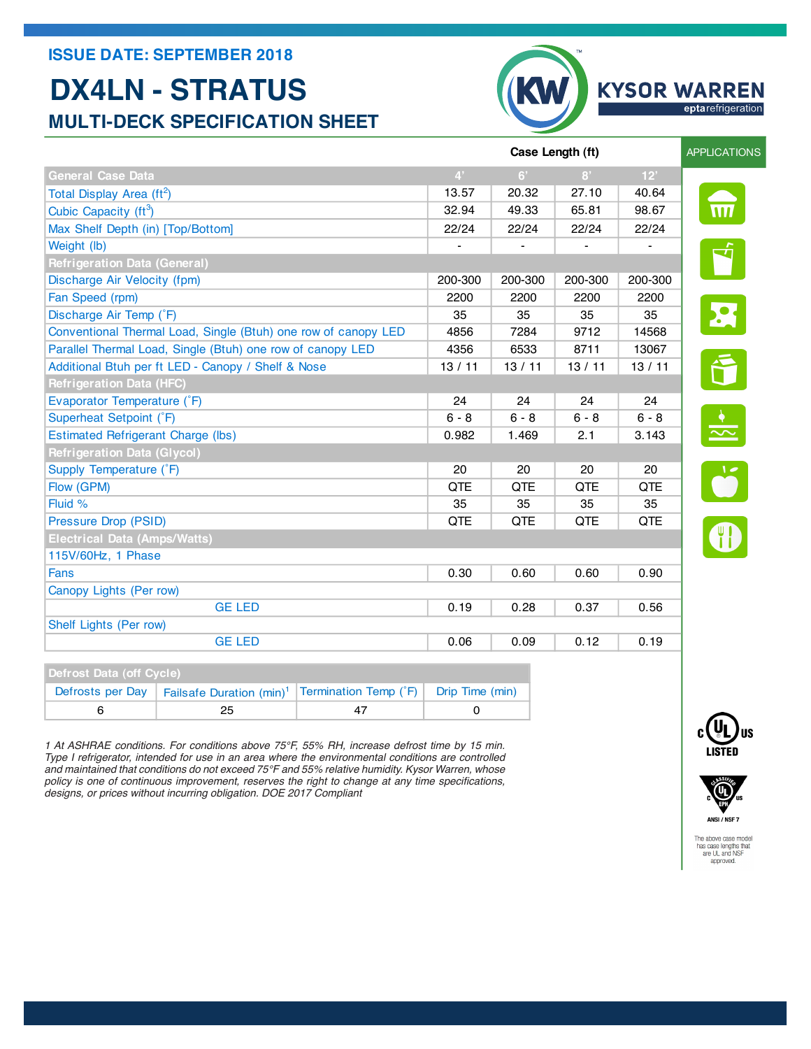## **ISSUE DATE: SEPTEMBER 2018**

## **DX4LN - STRATUS MULTI-DECK SPECIFICATION SHEET**



| Defrost Data (off Cycle) |                                                                                                   |  |  |
|--------------------------|---------------------------------------------------------------------------------------------------|--|--|
|                          | Defrosts per Day   Failsafe Duration $(min)^1$   Termination Temp ( $\hat{F}$ )   Drip Time (min) |  |  |
|                          | 25                                                                                                |  |  |

*1 At ASHRAE conditions. For conditions above 75°F, 55% RH, increase defrost time by 15 min. 1 At ASHRAE conditions. For conditions above 75°F, 55% RH, increase defrost time by 15 min. Type I refrigerator, intended for use in an area where the environmental conditions are controlled Type I refrigerator, intended for use in an area where the environmental conditions are controlled and maintained that conditions do not exceed 75°F and 55% relative humidity. Heatcraft Worldwide*  policy is one of continuous improvement, reserves the right to change at any time specifcations, *Refrigeration, whose policy is one of continuous improvement, reserves the right to change at any designs, or prices without incurring obligation. DOE 2017 Compliantand maintained that conditions do not exceed 75°F and 55% relative humidity. Kysor Warren, whose* 

> The above case model has case lengths that<br>are UL and NSF

approved